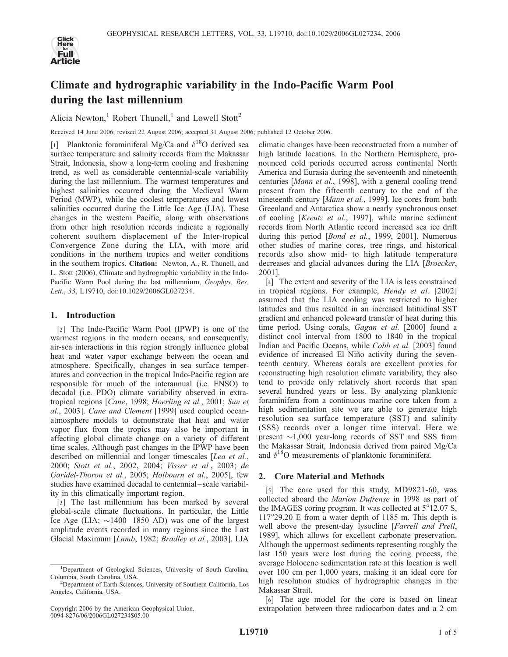

# Climate and hydrographic variability in the Indo-Pacific Warm Pool during the last millennium

Alicia Newton,<sup>1</sup> Robert Thunell,<sup>1</sup> and Lowell Stott<sup>2</sup>

Received 14 June 2006; revised 22 August 2006; accepted 31 August 2006; published 12 October 2006.

[1] Planktonic foraminiferal Mg/Ca and  $\delta^{18}$ O derived sea surface temperature and salinity records from the Makassar Strait, Indonesia, show a long-term cooling and freshening trend, as well as considerable centennial-scale variability during the last millennium. The warmest temperatures and highest salinities occurred during the Medieval Warm Period (MWP), while the coolest temperatures and lowest salinities occurred during the Little Ice Age (LIA). These changes in the western Pacific, along with observations from other high resolution records indicate a regionally coherent southern displacement of the Inter-tropical Convergence Zone during the LIA, with more arid conditions in the northern tropics and wetter conditions in the southern tropics. Citation: Newton, A., R. Thunell, and L. Stott (2006), Climate and hydrographic variability in the Indo-Pacific Warm Pool during the last millennium, Geophys. Res. Lett., 33, L19710, doi:10.1029/2006GL027234.

# 1. Introduction

[2] The Indo-Pacific Warm Pool (IPWP) is one of the warmest regions in the modern oceans, and consequently, air-sea interactions in this region strongly influence global heat and water vapor exchange between the ocean and atmosphere. Specifically, changes in sea surface temperatures and convection in the tropical Indo-Pacific region are responsible for much of the interannual (i.e. ENSO) to decadal (i.e. PDO) climate variability observed in extratropical regions [Cane, 1998; Hoerling et al., 2001; Sun et al., 2003]. Cane and Clement [1999] used coupled oceanatmosphere models to demonstrate that heat and water vapor flux from the tropics may also be important in affecting global climate change on a variety of different time scales. Although past changes in the IPWP have been described on millennial and longer timescales [Lea et al., 2000; Stott et al., 2002, 2004; Visser et al., 2003; de Garidel-Thoron et al., 2005; Holbourn et al., 2005], few studies have examined decadal to centennial– scale variability in this climatically important region.

[3] The last millennium has been marked by several global-scale climate fluctuations. In particular, the Little Ice Age (LIA;  $\sim$ 1400–1850 AD) was one of the largest amplitude events recorded in many regions since the Last Glacial Maximum [Lamb, 1982; Bradley et al., 2003]. LIA

climatic changes have been reconstructed from a number of high latitude locations. In the Northern Hemisphere, pronounced cold periods occurred across continental North America and Eurasia during the seventeenth and nineteenth centuries [Mann et al., 1998], with a general cooling trend present from the fifteenth century to the end of the nineteenth century [Mann et al., 1999]. Ice cores from both Greenland and Antarctica show a nearly synchronous onset of cooling [Kreutz et al., 1997], while marine sediment records from North Atlantic record increased sea ice drift during this period [Bond et al., 1999, 2001]. Numerous other studies of marine cores, tree rings, and historical records also show mid- to high latitude temperature decreases and glacial advances during the LIA [Broecker, 2001].

[4] The extent and severity of the LIA is less constrained in tropical regions. For example, Hendy et al. [2002] assumed that the LIA cooling was restricted to higher latitudes and thus resulted in an increased latitudinal SST gradient and enhanced poleward transfer of heat during this time period. Using corals, Gagan et al. [2000] found a distinct cool interval from 1800 to 1840 in the tropical Indian and Pacific Oceans, while Cobb et al. [2003] found evidence of increased El Niño activity during the seventeenth century. Whereas corals are excellent proxies for reconstructing high resolution climate variability, they also tend to provide only relatively short records that span several hundred years or less. By analyzing planktonic foraminifera from a continuous marine core taken from a high sedimentation site we are able to generate high resolution sea surface temperature (SST) and salinity (SSS) records over a longer time interval. Here we present  $\sim$ 1,000 year-long records of SST and SSS from the Makassar Strait, Indonesia derived from paired Mg/Ca and  $\delta^{18}$ O measurements of planktonic foraminifera.

## 2. Core Material and Methods

[5] The core used for this study, MD9821-60, was collected aboard the Marion Dufrense in 1998 as part of the IMAGES coring program. It was collected at  $5^{\circ}12.07$  S, 11729.20 E from a water depth of 1185 m. This depth is well above the present-day lysocline [Farrell and Prell, 1989], which allows for excellent carbonate preservation. Although the uppermost sediments representing roughly the last 150 years were lost during the coring process, the average Holocene sedimentation rate at this location is well over 100 cm per 1,000 years, making it an ideal core for high resolution studies of hydrographic changes in the Makassar Strait.

[6] The age model for the core is based on linear extrapolation between three radiocarbon dates and a 2 cm

<sup>&</sup>lt;sup>1</sup>Department of Geological Sciences, University of South Carolina, Columbia, South Carolina, USA. <sup>2</sup>

<sup>&</sup>lt;sup>2</sup>Department of Earth Sciences, University of Southern California, Los Angeles, California, USA.

Copyright 2006 by the American Geophysical Union. 0094-8276/06/2006GL027234\$05.00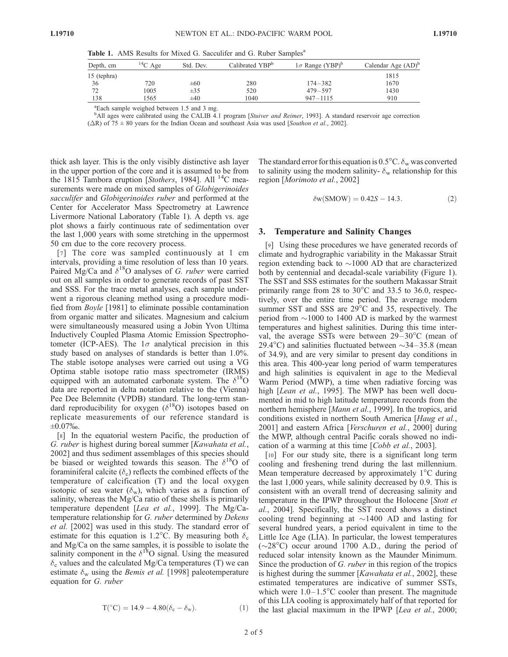Table 1. AMS Results for Mixed G. Sacculifer and G. Ruber Samples<sup>a</sup>

| Depth, cm   | $14C$ Age | Std. Dev. | Calibrated YBP <sup>b</sup> | $1\sigma$ Range (YBP) <sup>b</sup> | Calendar Age $(AD)^b$ |
|-------------|-----------|-----------|-----------------------------|------------------------------------|-----------------------|
| 15 (tephra) |           |           |                             |                                    | 1815                  |
| -36         | 720       | $\pm 60$  | 280                         | $174 - 382$                        | 1670                  |
| 72          | 1005      | $\pm 35$  | 520                         | $479 - 597$                        | 1430                  |
| 138         | 1565      | $\pm 40$  | 1040                        | $947 - 1115$                       | 910                   |
|             |           |           |                             |                                    |                       |

a Each sample weighed between 1.5 and 3 mg.

<sup>b</sup>All ages were calibrated using the CALIB 4.1 program [Stuiver and Reimer, 1993]. A standard reservoir age correction  $(\Delta R)$  of 75  $\pm$  80 years for the Indian Ocean and southeast Asia was used [Southon et al., 2002].

thick ash layer. This is the only visibly distinctive ash layer in the upper portion of the core and it is assumed to be from the 1815 Tambora eruption [Stothers, 1984]. All <sup>14</sup>C measurements were made on mixed samples of Globigerinoides sacculifer and Globigerinoides ruber and performed at the Center for Accelerator Mass Spectrometry at Lawrence Livermore National Laboratory (Table 1). A depth vs. age plot shows a fairly continuous rate of sedimentation over the last 1,000 years with some stretching in the uppermost 50 cm due to the core recovery process.

[7] The core was sampled continuously at 1 cm intervals, providing a time resolution of less than 10 years. Paired Mg/Ca and  $\delta^{18}$ O analyses of G. ruber were carried out on all samples in order to generate records of past SST and SSS. For the trace metal analyses, each sample underwent a rigorous cleaning method using a procedure modified from Boyle [1981] to eliminate possible contamination from organic matter and silicates. Magnesium and calcium were simultaneously measured using a Jobin Yvon Ultima Inductively Coupled Plasma Atomic Emission Spectrophotometer (ICP-AES). The  $1\sigma$  analytical precision in this study based on analyses of standards is better than 1.0%. The stable isotope analyses were carried out using a VG Optima stable isotope ratio mass spectrometer (IRMS) equipped with an automated carbonate system. The  $\delta^{18}O$ data are reported in delta notation relative to the (Vienna) Pee Dee Belemnite (VPDB) standard. The long-term standard reproducibility for oxygen ( $\delta^{18}$ O) isotopes based on replicate measurements of our reference standard is  $\pm 0.07\%$ .

[8] In the equatorial western Pacific, the production of G. ruber is highest during boreal summer [Kawahata et al., 2002] and thus sediment assemblages of this species should be biased or weighted towards this season. The  $\delta^{18}O$  of foraminiferal calcite  $(\delta_c)$  reflects the combined effects of the temperature of calcification (T) and the local oxygen isotopic of sea water  $(\delta_w)$ , which varies as a function of salinity, whereas the Mg/Ca ratio of these shells is primarily temperature dependent [Lea et al., 1999]. The Mg/Catemperature relationship for G. ruber determined by Dekens et al. [2002] was used in this study. The standard error of estimate for this equation is 1.2°C. By measuring both  $\delta_c$ and Mg/Ca on the same samples, it is possible to isolate the salinity component in the  $\delta^{18}$ O signal. Using the measured  $\delta_c$  values and the calculated Mg/Ca temperatures (T) we can estimate  $\delta_{\rm w}$  using the *Bemis et al.* [1998] paleotemperature equation for G. ruber

$$
T({}^{\circ}C) = 14.9 - 4.80(\delta_c - \delta_w). \tag{1}
$$

The standard error for this equation is  $0.5^{\circ}$ C.  $\delta_{\rm w}$  was converted to salinity using the modern salinity-  $\delta_{\rm w}$  relationship for this region [Morimoto et al., 2002]

$$
\delta w(SMOW) = 0.42S - 14.3. \tag{2}
$$

### 3. Temperature and Salinity Changes

[9] Using these procedures we have generated records of climate and hydrographic variability in the Makassar Strait region extending back to  $\sim$ 1000 AD that are characterized both by centennial and decadal-scale variability (Figure 1). The SST and SSS estimates for the southern Makassar Strait primarily range from 28 to  $30^{\circ}$ C and 33.5 to 36.0, respectively, over the entire time period. The average modern summer SST and SSS are  $29^{\circ}$ C and 35, respectively. The period from  $\sim$ 1000 to 1400 AD is marked by the warmest temperatures and highest salinities. During this time interval, the average SSTs were between  $29-30^{\circ}$ C (mean of 29.4°C) and salinities fluctuated between  $\sim$ 34–35.8 (mean of 34.9), and are very similar to present day conditions in this area. This 400-year long period of warm temperatures and high salinities is equivalent in age to the Medieval Warm Period (MWP), a time when radiative forcing was high [Lean et al., 1995]. The MWP has been well documented in mid to high latitude temperature records from the northern hemisphere [Mann et al., 1999]. In the tropics, arid conditions existed in northern South America [Haug et al., 2001] and eastern Africa [Verschuren et al., 2000] during the MWP, although central Pacific corals showed no indication of a warming at this time [Cobb et al., 2003].

[10] For our study site, there is a significant long term cooling and freshening trend during the last millennium. Mean temperature decreased by approximately  $1^{\circ}$ C during the last 1,000 years, while salinity decreased by 0.9. This is consistent with an overall trend of decreasing salinity and temperature in the IPWP throughout the Holocene [Stott et al., 2004]. Specifically, the SST record shows a distinct cooling trend beginning at  $\sim$ 1400 AD and lasting for several hundred years, a period equivalent in time to the Little Ice Age (LIA). In particular, the lowest temperatures  $(\sim 28^{\circ}$ C) occur around 1700 A.D., during the period of reduced solar intensity known as the Maunder Minimum. Since the production of G. *ruber* in this region of the tropics is highest during the summer [Kawahata et al., 2002], these estimated temperatures are indicative of summer SSTs, which were  $1.0-1.5^{\circ}$ C cooler than present. The magnitude of this LIA cooling is approximately half of that reported for the last glacial maximum in the IPWP [Lea et al., 2000;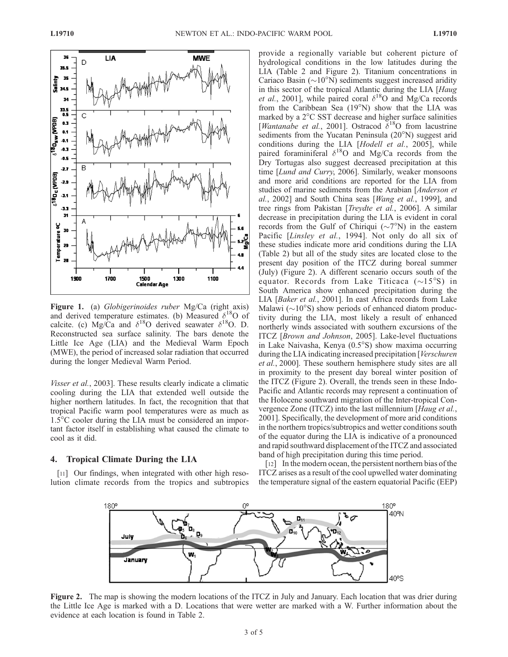

Figure 1. (a) Globigerinoides ruber Mg/Ca (right axis) and derived temperature estimates. (b) Measured  $\delta^{18}$ O of calcite. (c) Mg/Ca and  $\delta^{18}O$  derived seawater  $\delta^{18}O$ . D. Reconstructed sea surface salinity. The bars denote the Little Ice Age (LIA) and the Medieval Warm Epoch (MWE), the period of increased solar radiation that occurred during the longer Medieval Warm Period.

Visser et al., 2003]. These results clearly indicate a climatic cooling during the LIA that extended well outside the higher northern latitudes. In fact, the recognition that that tropical Pacific warm pool temperatures were as much as  $1.5^{\circ}$ C cooler during the LIA must be considered an important factor itself in establishing what caused the climate to cool as it did.

#### 4. Tropical Climate During the LIA

[11] Our findings, when integrated with other high resolution climate records from the tropics and subtropics provide a regionally variable but coherent picture of hydrological conditions in the low latitudes during the LIA (Table 2 and Figure 2). Titanium concentrations in Cariaco Basin ( $\sim$ 10°N) sediments suggest increased aridity in this sector of the tropical Atlantic during the LIA [Haug *et al.*, 2001], while paired coral  $\delta^{18}$ O and Mg/Ca records from the Caribbean Sea  $(19°N)$  show that the LIA was marked by a  $2^{\circ}$ C SST decrease and higher surface salinities [Wantanabe et al., 2001]. Ostracod  $\delta^{18}$ O from lacustrine sediments from the Yucatan Peninsula  $(20^{\circ}N)$  suggest arid conditions during the LIA [Hodell et al., 2005], while paired foraminiferal  $\delta^{18}$ O and Mg/Ca records from the Dry Tortugas also suggest decreased precipitation at this time [Lund and Curry, 2006]. Similarly, weaker monsoons and more arid conditions are reported for the LIA from studies of marine sediments from the Arabian [Anderson et al., 2002] and South China seas [*Wang et al.*, 1999], and tree rings from Pakistan [Treydte et al., 2006]. A similar decrease in precipitation during the LIA is evident in coral records from the Gulf of Chiriqui ( $\sim$ 7°N) in the eastern Pacific [Linsley et al., 1994]. Not only do all six of these studies indicate more arid conditions during the LIA (Table 2) but all of the study sites are located close to the present day position of the ITCZ during boreal summer (July) (Figure 2). A different scenario occurs south of the equator. Records from Lake Titicaca  $(\sim 15^{\circ}S)$  in South America show enhanced precipitation during the LIA [Baker et al., 2001]. In east Africa records from Lake Malawi  $({\sim}10^{\circ}S)$  show periods of enhanced diatom productivity during the LIA, most likely a result of enhanced northerly winds associated with southern excursions of the ITCZ [Brown and Johnson, 2005]. Lake-level fluctuations in Lake Naivasha, Kenya  $(0.5°S)$  show maxima occurring during the LIA indicating increased precipitation [*Verschuren*] et al., 2000]. These southern hemisphere study sites are all in proximity to the present day boreal winter position of the ITCZ (Figure 2). Overall, the trends seen in these Indo-Pacific and Atlantic records may represent a continuation of the Holocene southward migration of the Inter-tropical Convergence Zone (ITCZ) into the last millennium [Haug et al., 2001]. Specifically, the development of more arid conditions in the northern tropics/subtropics and wetter conditions south of the equator during the LIA is indicative of a pronounced and rapid southward displacement of the ITCZ and associated band of high precipitation during this time period.

[12] In the modern ocean, the persistent northern bias of the ITCZ arises as a result of the cool upwelled water dominating the temperature signal of the eastern equatorial Pacific (EEP)



Figure 2. The map is showing the modern locations of the ITCZ in July and January. Each location that was drier during the Little Ice Age is marked with a D. Locations that were wetter are marked with a W. Further information about the evidence at each location is found in Table 2.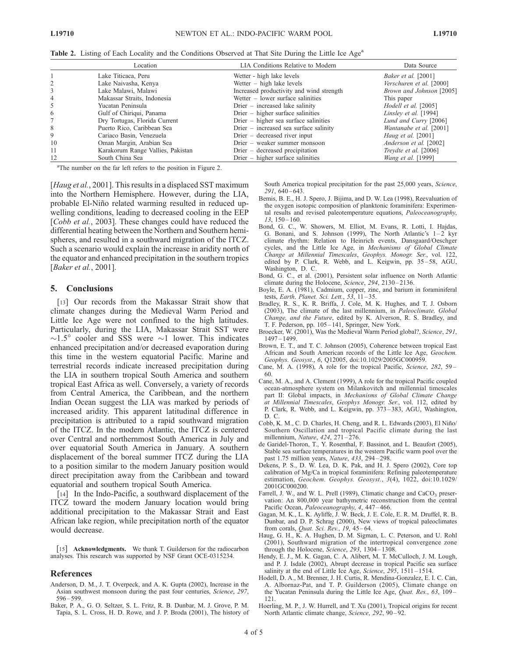|    | Location                          | LIA Conditions Relative to Modern         | Data Source               |
|----|-----------------------------------|-------------------------------------------|---------------------------|
|    | Lake Titicaca, Peru               | Wetter - high lake levels                 | Baker et al. [2001]       |
| 2  | Lake Naivasha, Kenya              | Wetter $-$ high lake levels               | Verschuren et al. [2000]  |
| 3  | Lake Malawi, Malawi               | Increased productivity and wind strength  | Brown and Johnson [2005]  |
| 4  | Makassar Straits, Indonesia       | Wetter $-$ lower surface salinities       | This paper                |
| 5  | Yucatan Peninsula                 | $Direct$ – increased lake salinity        | Hodell et al. [2005]      |
| 6  | Gulf of Chiriqui, Panama          | $Direct - higher surface salinities$      | Linsley et al. [1994]     |
|    | Dry Tortugas, Florida Current     | $Direct - higher sea surface salinities$  | Lund and Curry [2006]     |
| 8  | Puerto Rico, Caribbean Sea        | $Direct$ – increased sea surface salinity | Wantanabe et al. [2001]   |
| 9  | Cariaco Basin, Venezuela          | $Direct - decreased river input$          | <i>Haug et al.</i> [2001] |
| 10 | Oman Margin, Arabian Sea          | Drier – weaker summer monsoon             | Anderson et al. [2002]    |
| 11 | Karakorum Range Vallies, Pakistan | $Direct - decreased \, precipitation$     | Treydte et al. [2006]     |
| 12 | South China Sea                   | $Direct - higher surface salinities$      | <i>Wang et al.</i> [1999] |

Table 2. Listing of Each Locality and the Conditions Observed at That Site During the Little Ice Age<sup>a</sup>

<sup>a</sup>The number on the far left refers to the position in Figure 2.

[Haug et al., 2001]. This results in a displaced SST maximum into the Northern Hemisphere. However, during the LIA, probable El-Niño related warming resulted in reduced upwelling conditions, leading to decreased cooling in the EEP [*Cobb et al.*, 2003]. These changes could have reduced the differential heating between the Northern and Southern hemispheres, and resulted in a southward migration of the ITCZ. Such a scenario would explain the increase in aridity north of the equator and enhanced precipitation in the southern tropics [*Baker et al.*, 2001].

#### 5. Conclusions

[13] Our records from the Makassar Strait show that climate changes during the Medieval Warm Period and Little Ice Age were not confined to the high latitudes. Particularly, during the LIA, Makassar Strait SST were  $\sim$ 1.5° cooler and SSS were  $\sim$ 1 lower. This indicates enhanced precipitation and/or decreased evaporation during this time in the western equatorial Pacific. Marine and terrestrial records indicate increased precipitation during the LIA in southern tropical South America and southern tropical East Africa as well. Conversely, a variety of records from Central America, the Caribbean, and the northern Indian Ocean suggest the LIA was marked by periods of increased aridity. This apparent latitudinal difference in precipitation is attributed to a rapid southward migration of the ITCZ. In the modern Atlantic, the ITCZ is centered over Central and northernmost South America in July and over equatorial South America in January. A southern displacement of the boreal summer ITCZ during the LIA to a position similar to the modern January position would direct precipitation away from the Caribbean and toward equatorial and southern tropical South America.

[14] In the Indo-Pacific, a southward displacement of the ITCZ toward the modern January location would bring additional precipitation to the Makassar Strait and East African lake region, while precipitation north of the equator would decrease.

[15] Acknowledgments. We thank T. Guilderson for the radiocarbon analyses. This research was supported by NSF Grant OCE-0315234.

## References

- Anderson, D. M., J. T. Overpeck, and A. K. Gupta (2002), Increase in the Asian southwest monsoon during the past four centuries, Science, 297, 596 – 599.
- Baker, P. A., G. O. Seltzer, S. L. Fritz, R. B. Dunbar, M. J. Grove, P. M. Tapia, S. L. Cross, H. D. Rowe, and J. P. Broda (2001), The history of

South America tropical precipitation for the past 25,000 years, Science,  $291, 640 - 643$ 

- Bemis, B. E., H. J. Spero, J. Bijima, and D. W. Lea (1998), Reevaluation of the oxygen isotopic composition of planktonic foraminifera: Experimental results and revised paleotemperature equations, Paleoceanography,  $13, 150 - 160.$
- Bond, G. C., W. Showers, M. Elliot, M. Evans, R. Lotti, I. Hajdas, G. Bonani, and S. Johnson (1999), The North Atlantic's  $1-2$  kyr climate rhythm: Relation to Heinrich events, Dansgaard/Oeschger cycles, and the Little Ice Age, in Mechanisms of Global Climate Change at Millennial Timescales, Geophys. Monogr. Ser., vol. 122, edited by P. Clark, R. Webb, and L. Keigwin, pp. 35-58, AGU, Washington, D. C.
- Bond, G. C., et al. (2001), Persistent solar influence on North Atlantic climate during the Holocene, Science, 294, 2130-2136.
- Boyle, E. A. (1981), Cadmium, copper, zinc, and barium in foraminiferal tests, Earth, Planet. Sci. Lett., 53, 11-35.
- Bradley, R. S., K. R. Briffa, J. Cole, M. K. Hughes, and T. J. Osborn (2003), The climate of the last millennium, in Paleoclimate, Global Change, and the Future, edited by K. Alverson, R. S. Bradley, and T. F. Pederson, pp. 105 – 141, Springer, New York.
- Broecker, W. (2001), Was the Medieval Warm Period global?, Science, 291, 1497 – 1499.
- Brown, E. T., and T. C. Johnson (2005), Coherence between tropical East African and South American records of the Little Ice Age, Geochem. Geophys. Geosyst., 6, Q12005, doi:10.1029/2005GC000959.
- Cane, M. A. (1998), A role for the tropical Pacific, Science, 282, 59-60.
- Cane, M. A., and A. Clement (1999), A role for the tropical Pacific coupled ocean-atmosphere system on Milankovitch and millennial timescales part II: Global impacts, in Mechanisms of Global Climate Change at Millennial Timescales, Geophys Monogr. Ser., vol. 112, edited by P. Clark, R. Webb, and L. Keigwin, pp. 373 – 383, AGU, Washington, D. C.
- Cobb, K. M., C. D. Charles, H. Cheng, and R. L. Edwards (2003), El Niño/ Southern Oscillation and tropical Pacific climate during the last millennium, Nature, 424, 271-276.
- de Garidel-Thoron, T., Y. Rosenthal, F. Bassinot, and L. Beaufort (2005), Stable sea surface temperatures in the western Pacific warm pool over the past 1.75 million years, Nature, 433, 294 – 298.
- Dekens, P. S., D. W. Lea, D. K. Pak, and H. J. Spero (2002), Core top calibration of Mg/Ca in tropical foraminifera: Refining paleotemperature estimation, Geochem. Geophys. Geosyst., 3(4), 1022, doi:10.1029/ 2001GC000200.
- Farrell, J. W., and W. L. Prell (1989), Climatic change and CaCO<sub>3</sub> preservation: An 800,000 year bathymetric reconstruction from the central Pacific Ocean, Paleoceanography, 4, 447 – 466.
- Gagan, M. K., L. K. Ayliffe, J. W. Beck, J. E. Cole, E. R. M. Druffel, R. B. Dunbar, and D. P. Schrag (2000), New views of tropical paleoclimates from corals, *Quat. Sci. Rev.*, 19, 45-64.
- Haug, G. H., K. A. Hughen, D. M. Sigman, L. C. Peterson, and U. Rohl (2001), Southward migration of the intertropical convergence zone through the Holocene, Science,  $293$ ,  $1304 - 1308$ .
- Hendy, E. J., M. K. Gagan, C. A. Alibert, M. T. McCulloch, J. M. Lough, and P. J. Isdale (2002), Abrupt decrease in tropical Pacific sea surface salinity at the end of Little Ice Age, Science, 295, 1511-1514.
- Hodell, D. A., M. Brenner, J. H. Curtis, R. Mendina-Gonzalez, E. I. C. Can, A. Albornaz-Pat, and T. P. Guilderson (2005), Climate change on the Yucatan Peninsula during the Little Ice Age, Quat. Res., 63, 109-121.
- Hoerling, M. P., J. W. Hurrell, and T. Xu (2001), Tropical origins for recent North Atlantic climate change, Science, 292, 90-92.